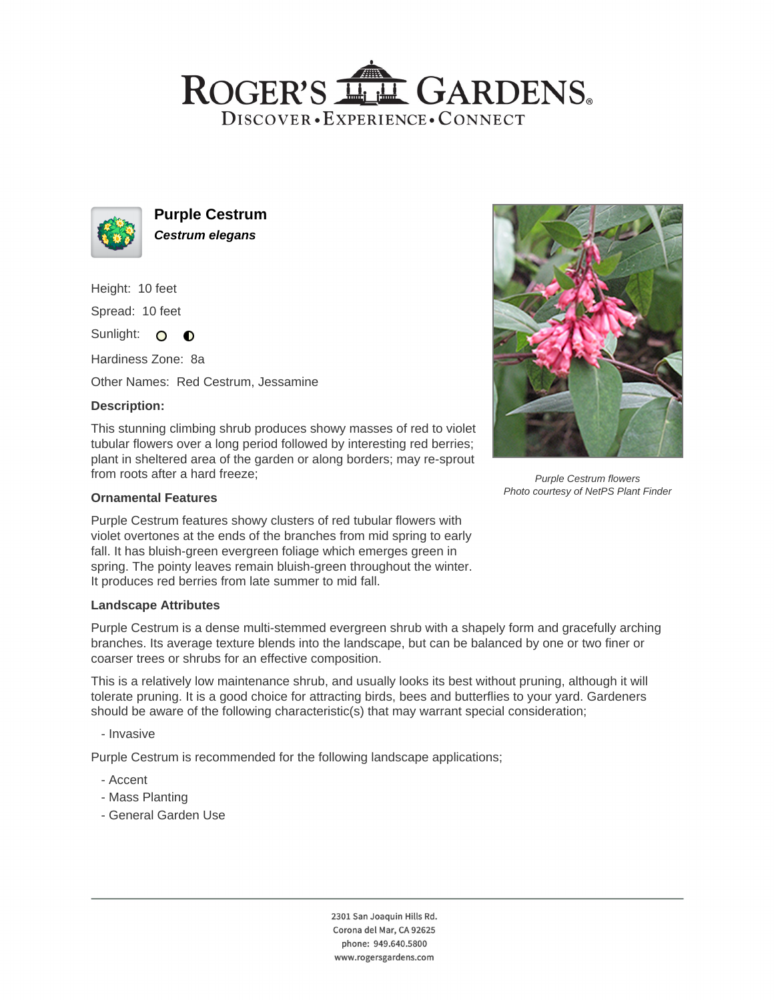# ROGER'S LL GARDENS. DISCOVER · EXPERIENCE · CONNECT



**Purple Cestrum Cestrum elegans**

Height: 10 feet

Spread: 10 feet

Sunlight: O **O** 

Hardiness Zone: 8a

Other Names: Red Cestrum, Jessamine

# **Description:**

This stunning climbing shrub produces showy masses of red to violet tubular flowers over a long period followed by interesting red berries; plant in sheltered area of the garden or along borders; may re-sprout from roots after a hard freeze;

## **Ornamental Features**

Purple Cestrum features showy clusters of red tubular flowers with violet overtones at the ends of the branches from mid spring to early fall. It has bluish-green evergreen foliage which emerges green in spring. The pointy leaves remain bluish-green throughout the winter. It produces red berries from late summer to mid fall.

#### **Landscape Attributes**

Purple Cestrum is a dense multi-stemmed evergreen shrub with a shapely form and gracefully arching branches. Its average texture blends into the landscape, but can be balanced by one or two finer or coarser trees or shrubs for an effective composition.

This is a relatively low maintenance shrub, and usually looks its best without pruning, although it will tolerate pruning. It is a good choice for attracting birds, bees and butterflies to your yard. Gardeners should be aware of the following characteristic(s) that may warrant special consideration;

- Invasive

Purple Cestrum is recommended for the following landscape applications;

- Accent
- Mass Planting
- General Garden Use



2301 San Joaquin Hills Rd. Corona del Mar, CA 92625 phone: 949.640.5800 www.rogersgardens.com